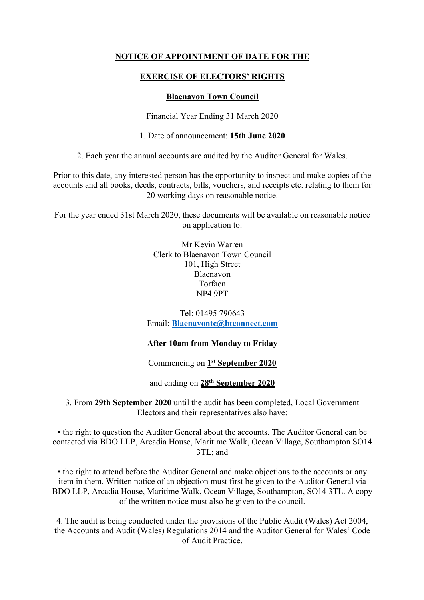# **NOTICE OF APPOINTMENT OF DATE FOR THE**

## **EXERCISE OF ELECTORS' RIGHTS**

## **Blaenavon Town Council**

Financial Year Ending 31 March 2020

1. Date of announcement: **15th June 2020**

2. Each year the annual accounts are audited by the Auditor General for Wales.

Prior to this date, any interested person has the opportunity to inspect and make copies of the accounts and all books, deeds, contracts, bills, vouchers, and receipts etc. relating to them for 20 working days on reasonable notice.

For the year ended 31st March 2020, these documents will be available on reasonable notice on application to:

> Mr Kevin Warren Clerk to Blaenavon Town Council 101, High Street Blaenavon Torfaen NP4 9PT

Tel: 01495 790643 Email: **Blaenavontc@btconnect.com**

## **After 10am from Monday to Friday**

Commencing on **1st September 2020**

and ending on **28th September 2020**

3. From **29th September 2020** until the audit has been completed, Local Government Electors and their representatives also have:

• the right to question the Auditor General about the accounts. The Auditor General can be contacted via BDO LLP, Arcadia House, Maritime Walk, Ocean Village, Southampton SO14 3TL; and

• the right to attend before the Auditor General and make objections to the accounts or any item in them. Written notice of an objection must first be given to the Auditor General via BDO LLP, Arcadia House, Maritime Walk, Ocean Village, Southampton, SO14 3TL. A copy of the written notice must also be given to the council.

4. The audit is being conducted under the provisions of the Public Audit (Wales) Act 2004, the Accounts and Audit (Wales) Regulations 2014 and the Auditor General for Wales' Code of Audit Practice.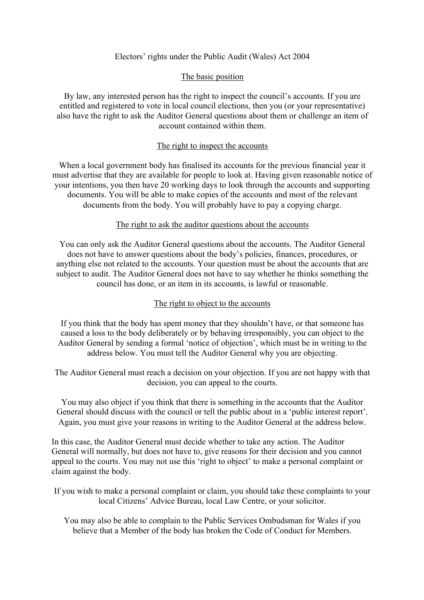## Electors' rights under the Public Audit (Wales) Act 2004

## The basic position

By law, any interested person has the right to inspect the council's accounts. If you are entitled and registered to vote in local council elections, then you (or your representative) also have the right to ask the Auditor General questions about them or challenge an item of account contained within them.

## The right to inspect the accounts

When a local government body has finalised its accounts for the previous financial year it must advertise that they are available for people to look at. Having given reasonable notice of your intentions, you then have 20 working days to look through the accounts and supporting documents. You will be able to make copies of the accounts and most of the relevant documents from the body. You will probably have to pay a copying charge.

## The right to ask the auditor questions about the accounts

You can only ask the Auditor General questions about the accounts. The Auditor General does not have to answer questions about the body's policies, finances, procedures, or anything else not related to the accounts. Your question must be about the accounts that are subject to audit. The Auditor General does not have to say whether he thinks something the council has done, or an item in its accounts, is lawful or reasonable.

## The right to object to the accounts

If you think that the body has spent money that they shouldn't have, or that someone has caused a loss to the body deliberately or by behaving irresponsibly, you can object to the Auditor General by sending a formal 'notice of objection', which must be in writing to the address below. You must tell the Auditor General why you are objecting.

The Auditor General must reach a decision on your objection. If you are not happy with that decision, you can appeal to the courts.

You may also object if you think that there is something in the accounts that the Auditor General should discuss with the council or tell the public about in a 'public interest report'. Again, you must give your reasons in writing to the Auditor General at the address below.

In this case, the Auditor General must decide whether to take any action. The Auditor General will normally, but does not have to, give reasons for their decision and you cannot appeal to the courts. You may not use this 'right to object' to make a personal complaint or claim against the body.

If you wish to make a personal complaint or claim, you should take these complaints to your local Citizens' Advice Bureau, local Law Centre, or your solicitor.

You may also be able to complain to the Public Services Ombudsman for Wales if you believe that a Member of the body has broken the Code of Conduct for Members.